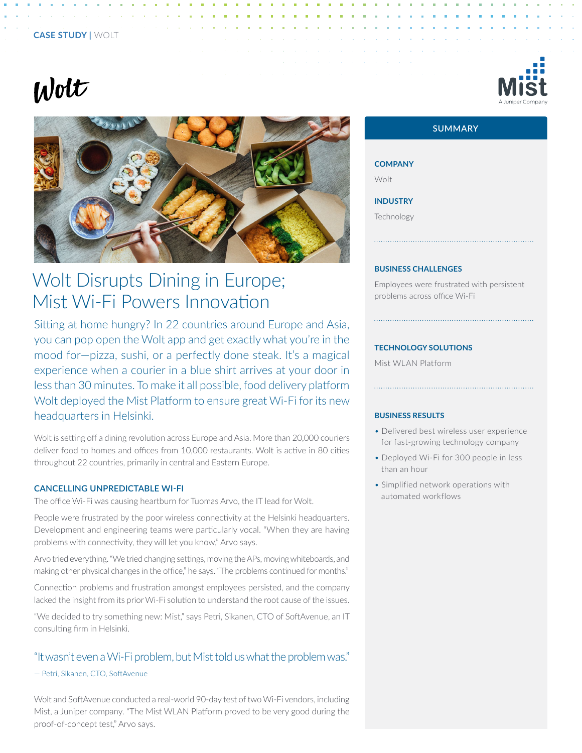## **CASE STUDY |** WOLT

# $W$ olt



# Wolt Disrupts Dining in Europe; Mist Wi-Fi Powers Innovation

Sitting at home hungry? In 22 countries around Europe and Asia, you can pop open the Wolt app and get exactly what you're in the mood for—pizza, sushi, or a perfectly done steak. It's a magical experience when a courier in a blue shirt arrives at your door in less than 30 minutes. To make it all possible, food delivery platform Wolt deployed the Mist Platform to ensure great Wi-Fi for its new headquarters in Helsinki.

Wolt is setting off a dining revolution across Europe and Asia. More than 20,000 couriers deliver food to homes and offices from 10,000 restaurants. Wolt is active in 80 cities throughout 22 countries, primarily in central and Eastern Europe.

## **CANCELLING UNPREDICTABLE WI-FI**

The office Wi-Fi was causing heartburn for Tuomas Arvo, the IT lead for Wolt.

People were frustrated by the poor wireless connectivity at the Helsinki headquarters. Development and engineering teams were particularly vocal. "When they are having problems with connectivity, they will let you know," Arvo says.

Arvo tried everything. "We tried changing settings, moving the APs, moving whiteboards, and making other physical changes in the office," he says. "The problems continued for months."

Connection problems and frustration amongst employees persisted, and the company lacked the insight from its prior Wi-Fi solution to understand the root cause of the issues.

"We decided to try something new: Mist," says Petri, Sikanen, CTO of SoftAvenue, an IT consulting firm in Helsinki.

# "It wasn't even a Wi-Fi problem, but Mist told us what the problem was."

#### — Petri, Sikanen, CTO, SoftAvenue

Wolt and SoftAvenue conducted a real-world 90-day test of two Wi-Fi vendors, including Mist, a Juniper company. "The Mist WLAN Platform proved to be very good during the proof-of-concept test," Arvo says.



# **SUMMARY**

**COMPANY**

Wolt

**INDUSTRY**

Technology

#### **BUSINESS CHALLENGES**

Employees were frustrated with persistent problems across office Wi-Fi

#### **TECHNOLOGY SOLUTIONS**

Mist WLAN Platform

#### **BUSINESS RESULTS**

• Delivered best wireless user experience for fast-growing technology company

- Deployed Wi-Fi for 300 people in less than an hour
- Simplified network operations with automated workflows